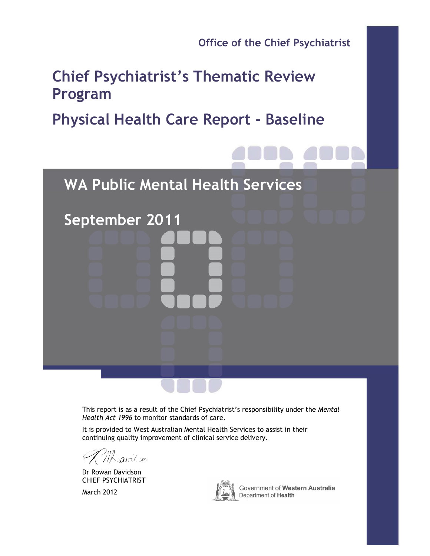**Office of the Chief Psychiatrist** 

# **Chief Psychiatrist's Thematic Review Program**

# **Physical Health Care Report - Baseline**

**WA Public Mental Health Services**

This report is as a result of the Chief Psychiatrist's responsibility under the *Mental Health Act 1996* to monitor standards of care.

It is provided to West Australian Mental Health Services to assist in their continuing quality improvement of clinical service delivery.

avidson

**September 2011** 

Dr Rowan Davidson CHIEF PSYCHIATRIST

March 2012



Government of Western Australia Department of Health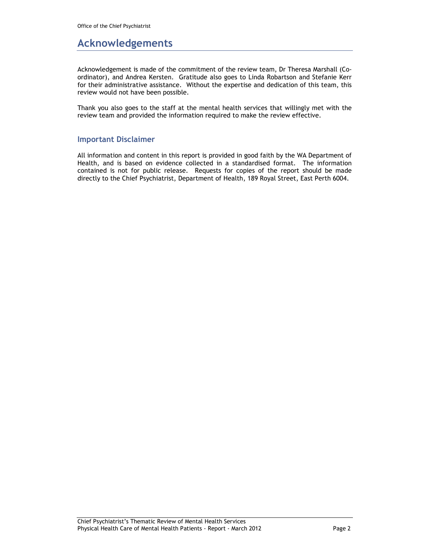## **Acknowledgements**

Acknowledgement is made of the commitment of the review team, Dr Theresa Marshall (Coordinator), and Andrea Kersten. Gratitude also goes to Linda Robartson and Stefanie Kerr for their administrative assistance. Without the expertise and dedication of this team, this review would not have been possible.

Thank you also goes to the staff at the mental health services that willingly met with the review team and provided the information required to make the review effective.

### **Important Disclaimer**

All information and content in this report is provided in good faith by the WA Department of Health, and is based on evidence collected in a standardised format. The information contained is not for public release. Requests for copies of the report should be made directly to the Chief Psychiatrist, Department of Health, 189 Royal Street, East Perth 6004.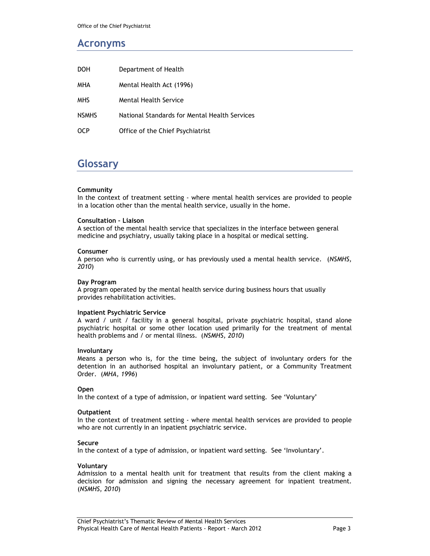## **Acronyms**

| <b>DOH</b>   | Department of Health                          |
|--------------|-----------------------------------------------|
| <b>MHA</b>   | Mental Health Act (1996)                      |
| <b>MHS</b>   | <b>Mental Health Service</b>                  |
| <b>NSMHS</b> | National Standards for Mental Health Services |
| <b>OCP</b>   | Office of the Chief Psychiatrist              |

## **Glossary**

#### **Community**

In the context of treatment setting - where mental health services are provided to people in a location other than the mental health service, usually in the home.

#### **Consultation – Liaison**

A section of the mental health service that specializes in the interface between general medicine and psychiatry, usually taking place in a hospital or medical setting.

#### **Consumer**

A person who is currently using, or has previously used a mental health service. (*NSMHS, 2010*)

#### **Day Program**

A program operated by the mental health service during business hours that usually provides rehabilitation activities.

#### **Inpatient Psychiatric Service**

A ward / unit / facility in a general hospital, private psychiatric hospital, stand alone psychiatric hospital or some other location used primarily for the treatment of mental health problems and / or mental illness. (*NSMHS, 2010*)

#### **Involuntary**

Means a person who is, for the time being, the subject of involuntary orders for the detention in an authorised hospital an involuntary patient, or a Community Treatment Order. (*MHA, 1996*)

#### **Open**

In the context of a type of admission, or inpatient ward setting. See 'Voluntary'

#### **Outpatient**

In the context of treatment setting - where mental health services are provided to people who are not currently in an inpatient psychiatric service.

#### **Secure**

In the context of a type of admission, or inpatient ward setting. See 'Involuntary'.

#### **Voluntary**

Admission to a mental health unit for treatment that results from the client making a decision for admission and signing the necessary agreement for inpatient treatment. (*NSMHS, 2010*)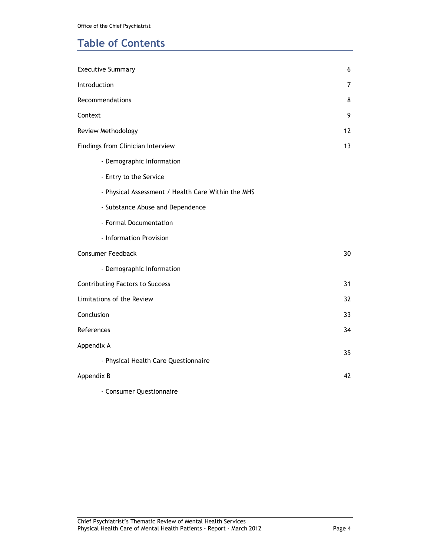## **Table of Contents**

| <b>Executive Summary</b>                           | 6  |
|----------------------------------------------------|----|
| Introduction                                       | 7  |
| Recommendations                                    | 8  |
| Context                                            | 9  |
| Review Methodology                                 | 12 |
| Findings from Clinician Interview                  | 13 |
| - Demographic Information                          |    |
| - Entry to the Service                             |    |
| - Physical Assessment / Health Care Within the MHS |    |
| - Substance Abuse and Dependence                   |    |
| - Formal Documentation                             |    |
| - Information Provision                            |    |
| Consumer Feedback                                  | 30 |
| - Demographic Information                          |    |
| <b>Contributing Factors to Success</b>             | 31 |
| Limitations of the Review                          | 32 |
| Conclusion                                         | 33 |
| References                                         | 34 |
| Appendix A                                         | 35 |
| - Physical Health Care Questionnaire               |    |
| Appendix B                                         | 42 |
| - Consumer Questionnaire                           |    |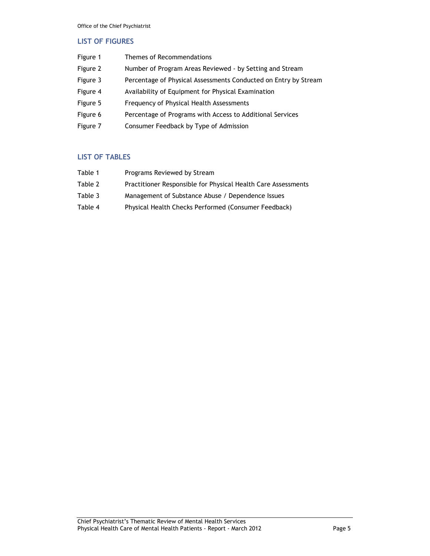### **LIST OF FIGURES**

| Figure 1 | Themes of Recommendations                                       |
|----------|-----------------------------------------------------------------|
| Figure 2 | Number of Program Areas Reviewed - by Setting and Stream        |
| Figure 3 | Percentage of Physical Assessments Conducted on Entry by Stream |
| Figure 4 | Availability of Equipment for Physical Examination              |
| Figure 5 | Frequency of Physical Health Assessments                        |
| Figure 6 | Percentage of Programs with Access to Additional Services       |
| Figure 7 | Consumer Feedback by Type of Admission                          |

### **LIST OF TABLES**

| Table 1 | Programs Reviewed by Stream                                   |
|---------|---------------------------------------------------------------|
| Table 2 | Practitioner Responsible for Physical Health Care Assessments |
| Table 3 | Management of Substance Abuse / Dependence Issues             |
| Table 4 | Physical Health Checks Performed (Consumer Feedback)          |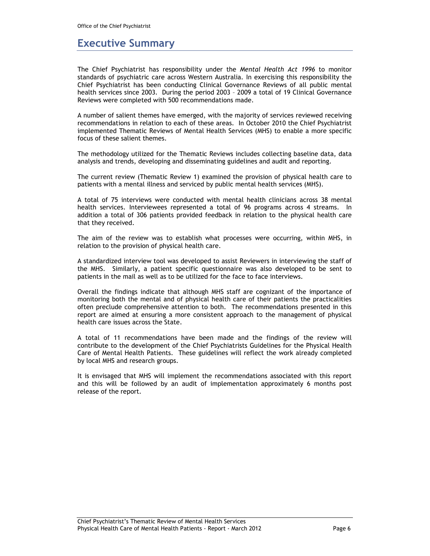## **Executive Summary**

The Chief Psychiatrist has responsibility under the *Mental Health Act 1996* to monitor standards of psychiatric care across Western Australia. In exercising this responsibility the Chief Psychiatrist has been conducting Clinical Governance Reviews of all public mental health services since 2003. During the period 2003 – 2009 a total of 19 Clinical Governance Reviews were completed with 500 recommendations made.

A number of salient themes have emerged, with the majority of services reviewed receiving recommendations in relation to each of these areas. In October 2010 the Chief Psychiatrist implemented Thematic Reviews of Mental Health Services (MHS) to enable a more specific focus of these salient themes.

The methodology utilized for the Thematic Reviews includes collecting baseline data, data analysis and trends, developing and disseminating guidelines and audit and reporting.

The current review (Thematic Review 1) examined the provision of physical health care to patients with a mental illness and serviced by public mental health services (MHS).

A total of 75 interviews were conducted with mental health clinicians across 38 mental health services. Interviewees represented a total of 96 programs across 4 streams. In addition a total of 306 patients provided feedback in relation to the physical health care that they received.

The aim of the review was to establish what processes were occurring, within MHS, in relation to the provision of physical health care.

A standardized interview tool was developed to assist Reviewers in interviewing the staff of the MHS. Similarly, a patient specific questionnaire was also developed to be sent to patients in the mail as well as to be utilized for the face to face interviews.

Overall the findings indicate that although MHS staff are cognizant of the importance of monitoring both the mental and of physical health care of their patients the practicalities often preclude comprehensive attention to both. The recommendations presented in this report are aimed at ensuring a more consistent approach to the management of physical health care issues across the State.

A total of 11 recommendations have been made and the findings of the review will contribute to the development of the Chief Psychiatrists Guidelines for the Physical Health Care of Mental Health Patients. These guidelines will reflect the work already completed by local MHS and research groups.

It is envisaged that MHS will implement the recommendations associated with this report and this will be followed by an audit of implementation approximately 6 months post release of the report.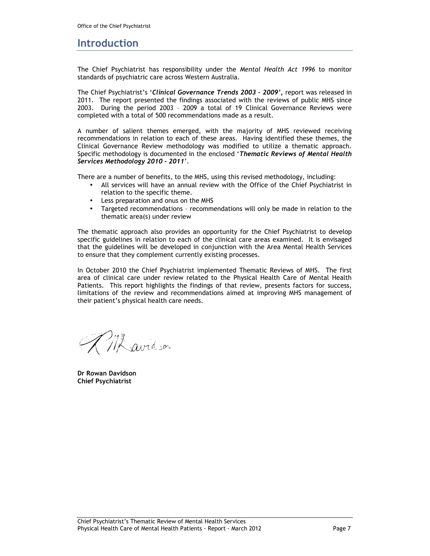### **Introduction**

The Chief Psychiatrist has responsibility under the *Mental Health Act 1996* to monitor standards of psychiatric care across Western Australia.

The Chief Psychiatrist's '*Clinical Governance Trends 2003 – 2009',* report was released in 2011*.* The report presented the findings associated with the reviews of public MHS since 2003. During the period 2003 – 2009 a total of 19 Clinical Governance Reviews were completed with a total of 500 recommendations made as a result.

A number of salient themes emerged, with the majority of MHS reviewed receiving recommendations in relation to each of these areas. Having identified these themes, the Clinical Governance Review methodology was modified to utilize a thematic approach. Specific methodology is documented in the enclosed '*Thematic Reviews of Mental Health Services Methodology 2010 - 2011*'.

There are a number of benefits, to the MHS, using this revised methodology, including:

- All services will have an annual review with the Office of the Chief Psychiatrist in relation to the specific theme.
- Less preparation and onus on the MHS
- Targeted recommendations recommendations will only be made in relation to the thematic area(s) under review

The thematic approach also provides an opportunity for the Chief Psychiatrist to develop specific guidelines in relation to each of the clinical care areas examined. It is envisaged that the guidelines will be developed in conjunction with the Area Mental Health Services to ensure that they complement currently existing processes.

In October 2010 the Chief Psychiatrist implemented Thematic Reviews of MHS. The first area of clinical care under review related to the Physical Health Care of Mental Health Patients. This report highlights the findings of that review, presents factors for success, limitations of the review and recommendations aimed at improving MHS management of their patient's physical health care needs.

Misavidson

**Dr Rowan Davidson Chief Psychiatrist**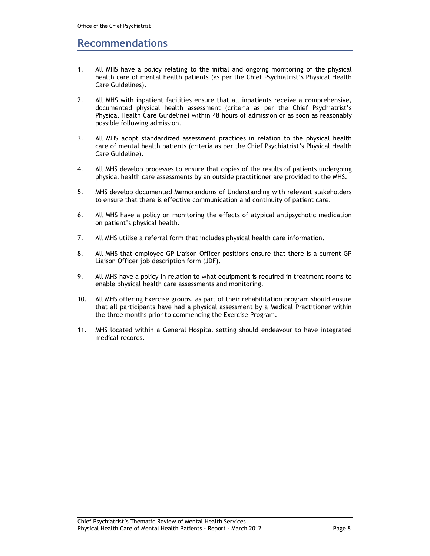## **Recommendations**

- 1. All MHS have a policy relating to the initial and ongoing monitoring of the physical health care of mental health patients (as per the Chief Psychiatrist's Physical Health Care Guidelines).
- 2. All MHS with inpatient facilities ensure that all inpatients receive a comprehensive, documented physical health assessment (criteria as per the Chief Psychiatrist's Physical Health Care Guideline) within 48 hours of admission or as soon as reasonably possible following admission.
- 3. All MHS adopt standardized assessment practices in relation to the physical health care of mental health patients (criteria as per the Chief Psychiatrist's Physical Health Care Guideline).
- 4. All MHS develop processes to ensure that copies of the results of patients undergoing physical health care assessments by an outside practitioner are provided to the MHS.
- 5. MHS develop documented Memorandums of Understanding with relevant stakeholders to ensure that there is effective communication and continuity of patient care.
- 6. All MHS have a policy on monitoring the effects of atypical antipsychotic medication on patient's physical health.
- 7. All MHS utilise a referral form that includes physical health care information.
- 8. All MHS that employee GP Liaison Officer positions ensure that there is a current GP Liaison Officer job description form (JDF).
- 9. All MHS have a policy in relation to what equipment is required in treatment rooms to enable physical health care assessments and monitoring.
- 10. All MHS offering Exercise groups, as part of their rehabilitation program should ensure that all participants have had a physical assessment by a Medical Practitioner within the three months prior to commencing the Exercise Program.
- 11. MHS located within a General Hospital setting should endeavour to have integrated medical records.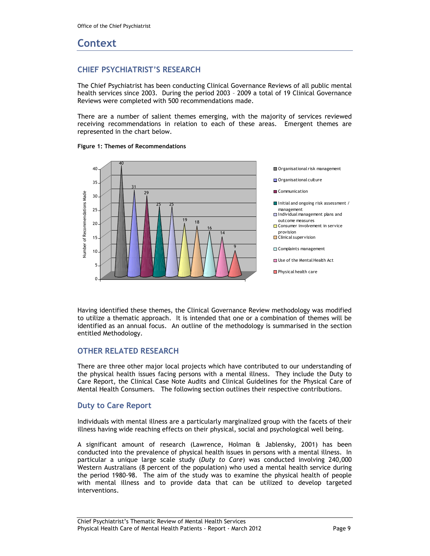## **Context**

### **CHIEF PSYCHIATRIST'S RESEARCH**

The Chief Psychiatrist has been conducting Clinical Governance Reviews of all public mental health services since 2003. During the period 2003 – 2009 a total of 19 Clinical Governance Reviews were completed with 500 recommendations made.

There are a number of salient themes emerging, with the majority of services reviewed receiving recommendations in relation to each of these areas. Emergent themes are represented in the chart below.





Having identified these themes, the Clinical Governance Review methodology was modified to utilize a thematic approach. It is intended that one or a combination of themes will be identified as an annual focus. An outline of the methodology is summarised in the section entitled Methodology.

### **OTHER RELATED RESEARCH**

There are three other major local projects which have contributed to our understanding of the physical health issues facing persons with a mental illness. They include the Duty to Care Report, the Clinical Case Note Audits and Clinical Guidelines for the Physical Care of Mental Health Consumers. The following section outlines their respective contributions.

### **Duty to Care Report**

Individuals with mental illness are a particularly marginalized group with the facets of their illness having wide reaching effects on their physical, social and psychological well being.

A significant amount of research (Lawrence, Holman & Jablensky, 2001) has been conducted into the prevalence of physical health issues in persons with a mental illness. In particular a unique large scale study (*Duty to Care*) was conducted involving 240,000 Western Australians (8 percent of the population) who used a mental health service during the period 1980-98. The aim of the study was to examine the physical health of people with mental illness and to provide data that can be utilized to develop targeted interventions.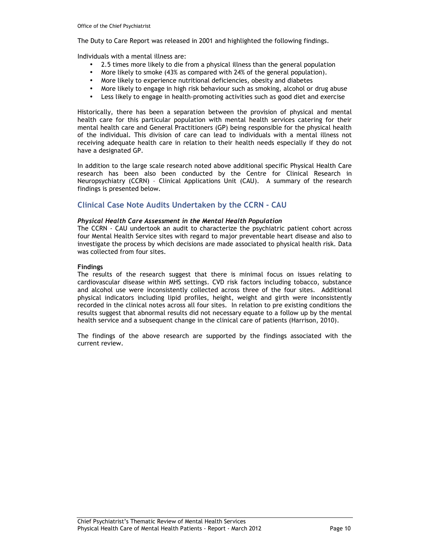The Duty to Care Report was released in 2001 and highlighted the following findings.

Individuals with a mental illness are:

- 2.5 times more likely to die from a physical illness than the general population
- More likely to smoke (43% as compared with 24% of the general population).
- More likely to experience nutritional deficiencies, obesity and diabetes
- More likely to engage in high risk behaviour such as smoking, alcohol or drug abuse
- Less likely to engage in health-promoting activities such as good diet and exercise

Historically, there has been a separation between the provision of physical and mental health care for this particular population with mental health services catering for their mental health care and General Practitioners (GP) being responsible for the physical health of the individual. This division of care can lead to individuals with a mental illness not receiving adequate health care in relation to their health needs especially if they do not have a designated GP.

In addition to the large scale research noted above additional specific Physical Health Care research has been also been conducted by the Centre for Clinical Research in Neuropsychiatry (CCRN) – Clinical Applications Unit (CAU). A summary of the research findings is presented below.

### **Clinical Case Note Audits Undertaken by the CCRN - CAU**

#### *Physical Health Care Assessment in the Mental Health Population*

The CCRN - CAU undertook an audit to characterize the psychiatric patient cohort across four Mental Health Service sites with regard to major preventable heart disease and also to investigate the process by which decisions are made associated to physical health risk. Data was collected from four sites.

#### **Findings**

The results of the research suggest that there is minimal focus on issues relating to cardiovascular disease within MHS settings. CVD risk factors including tobacco, substance and alcohol use were inconsistently collected across three of the four sites. Additional physical indicators including lipid profiles, height, weight and girth were inconsistently recorded in the clinical notes across all four sites. In relation to pre existing conditions the results suggest that abnormal results did not necessary equate to a follow up by the mental health service and a subsequent change in the clinical care of patients (Harrison, 2010).

The findings of the above research are supported by the findings associated with the current review.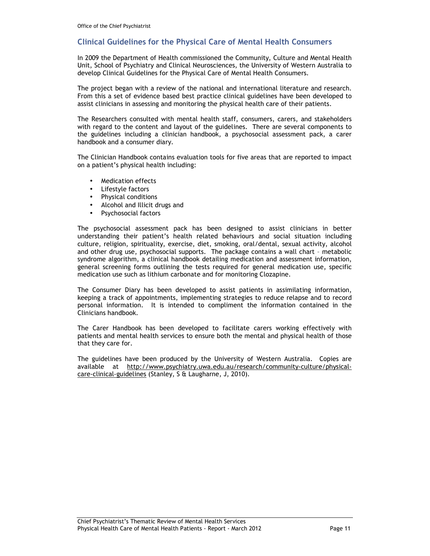### **Clinical Guidelines for the Physical Care of Mental Health Consumers**

In 2009 the Department of Health commissioned the Community, Culture and Mental Health Unit, School of Psychiatry and Clinical Neurosciences, the University of Western Australia to develop Clinical Guidelines for the Physical Care of Mental Health Consumers.

The project began with a review of the national and international literature and research. From this a set of evidence based best practice clinical guidelines have been developed to assist clinicians in assessing and monitoring the physical health care of their patients.

The Researchers consulted with mental health staff, consumers, carers, and stakeholders with regard to the content and layout of the guidelines. There are several components to the guidelines including a clinician handbook, a psychosocial assessment pack, a carer handbook and a consumer diary.

The Clinician Handbook contains evaluation tools for five areas that are reported to impact on a patient's physical health including:

- Medication effects
- Lifestyle factors
- Physical conditions
- Alcohol and Illicit drugs and
- Psychosocial factors

The psychosocial assessment pack has been designed to assist clinicians in better understanding their patient's health related behaviours and social situation including culture, religion, spirituality, exercise, diet, smoking, oral/dental, sexual activity, alcohol and other drug use, psychosocial supports. The package contains a wall chart – metabolic syndrome algorithm, a clinical handbook detailing medication and assessment information, general screening forms outlining the tests required for general medication use, specific medication use such as lithium carbonate and for monitoring Clozapine.

The Consumer Diary has been developed to assist patients in assimilating information, keeping a track of appointments, implementing strategies to reduce relapse and to record personal information. It is intended to compliment the information contained in the Clinicians handbook.

The Carer Handbook has been developed to facilitate carers working effectively with patients and mental health services to ensure both the mental and physical health of those that they care for.

The guidelines have been produced by the University of Western Australia. Copies are available at http://www.psychiatry.uwa.edu.au/research/community-culture/physicalcare-clinical-guidelines (Stanley, S & Laugharne, J, 2010).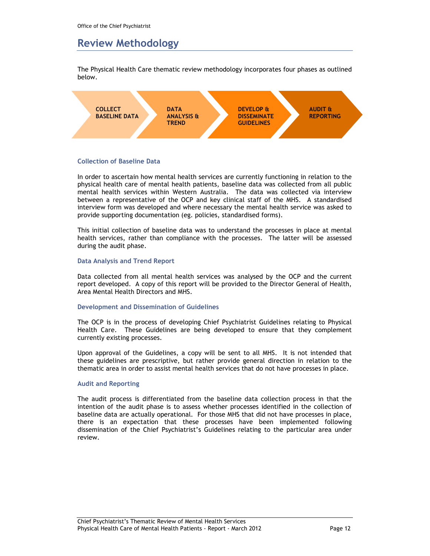## **Review Methodology**

The Physical Health Care thematic review methodology incorporates four phases as outlined below.



#### **Collection of Baseline Data**

In order to ascertain how mental health services are currently functioning in relation to the physical health care of mental health patients, baseline data was collected from all public mental health services within Western Australia. The data was collected via interview between a representative of the OCP and key clinical staff of the MHS. A standardised interview form was developed and where necessary the mental health service was asked to provide supporting documentation (eg. policies, standardised forms).

This initial collection of baseline data was to understand the processes in place at mental health services, rather than compliance with the processes. The latter will be assessed during the audit phase.

#### **Data Analysis and Trend Report**

Data collected from all mental health services was analysed by the OCP and the current report developed. A copy of this report will be provided to the Director General of Health, Area Mental Health Directors and MHS.

#### **Development and Dissemination of Guidelines**

The OCP is in the process of developing Chief Psychiatrist Guidelines relating to Physical Health Care. These Guidelines are being developed to ensure that they complement currently existing processes.

Upon approval of the Guidelines, a copy will be sent to all MHS. It is not intended that these guidelines are prescriptive, but rather provide general direction in relation to the thematic area in order to assist mental health services that do not have processes in place.

#### **Audit and Reporting**

The audit process is differentiated from the baseline data collection process in that the intention of the audit phase is to assess whether processes identified in the collection of baseline data are actually operational. For those MHS that did not have processes in place, there is an expectation that these processes have been implemented following dissemination of the Chief Psychiatrist's Guidelines relating to the particular area under review.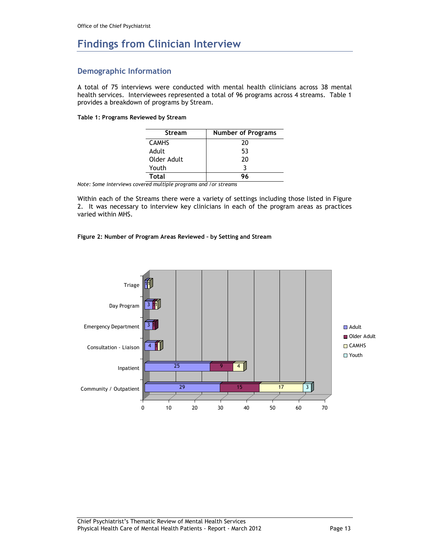## **Findings from Clinician Interview**

### **Demographic Information**

A total of 75 interviews were conducted with mental health clinicians across 38 mental health services. Interviewees represented a total of 96 programs across 4 streams. Table 1 provides a breakdown of programs by Stream.

#### **Table 1: Programs Reviewed by Stream**

| <b>Stream</b> | <b>Number of Programs</b> |  |  |
|---------------|---------------------------|--|--|
| <b>CAMHS</b>  | 20                        |  |  |
| Adult         | 53                        |  |  |
| Older Adult   | 20                        |  |  |
| Youth         |                           |  |  |
| Total         | 96                        |  |  |
| .             | $\overline{\phantom{a}}$  |  |  |

*Note: Some interviews covered multiple programs and /or streams* 

Within each of the Streams there were a variety of settings including those listed in Figure 2. It was necessary to interview key clinicians in each of the program areas as practices varied within MHS.

#### **Figure 2: Number of Program Areas Reviewed – by Setting and Stream**

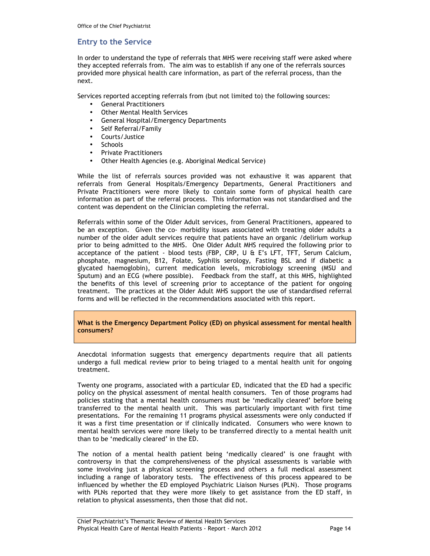### **Entry to the Service**

In order to understand the type of referrals that MHS were receiving staff were asked where they accepted referrals from. The aim was to establish if any one of the referrals sources provided more physical health care information, as part of the referral process, than the next.

Services reported accepting referrals from (but not limited to) the following sources:

- General Practitioners
- Other Mental Health Services
- General Hospital/Emergency Departments
- Self Referral/Family
- Courts/Justice
- Schools
- Private Practitioners
- Other Health Agencies (e.g. Aboriginal Medical Service)

While the list of referrals sources provided was not exhaustive it was apparent that referrals from General Hospitals/Emergency Departments, General Practitioners and Private Practitioners were more likely to contain some form of physical health care information as part of the referral process. This information was not standardised and the content was dependent on the Clinician completing the referral.

Referrals within some of the Older Adult services, from General Practitioners, appeared to be an exception. Given the co- morbidity issues associated with treating older adults a number of the older adult services require that patients have an organic /delirium workup prior to being admitted to the MHS. One Older Adult MHS required the following prior to acceptance of the patient - blood tests (FBP, CRP, U & E's LFT, TFT, Serum Calcium, phosphate, magnesium, B12, Folate, Syphilis serology, Fasting BSL and if diabetic a glycated haemoglobin), current medication levels, microbiology screening (MSU and Sputum) and an ECG (where possible). Feedback from the staff, at this MHS, highlighted the benefits of this level of screening prior to acceptance of the patient for ongoing treatment. The practices at the Older Adult MHS support the use of standardised referral forms and will be reflected in the recommendations associated with this report.

**What is the Emergency Department Policy (ED) on physical assessment for mental health consumers?** 

Anecdotal information suggests that emergency departments require that all patients undergo a full medical review prior to being triaged to a mental health unit for ongoing treatment.

Twenty one programs, associated with a particular ED, indicated that the ED had a specific policy on the physical assessment of mental health consumers. Ten of those programs had policies stating that a mental health consumers must be 'medically cleared' before being transferred to the mental health unit. This was particularly important with first time presentations. For the remaining 11 programs physical assessments were only conducted if it was a first time presentation or if clinically indicated. Consumers who were known to mental health services were more likely to be transferred directly to a mental health unit than to be 'medically cleared' in the ED.

The notion of a mental health patient being 'medically cleared' is one fraught with controversy in that the comprehensiveness of the physical assessments is variable with some involving just a physical screening process and others a full medical assessment including a range of laboratory tests. The effectiveness of this process appeared to be influenced by whether the ED employed Psychiatric Liaison Nurses (PLN). Those programs with PLNs reported that they were more likely to get assistance from the ED staff, in relation to physical assessments, then those that did not.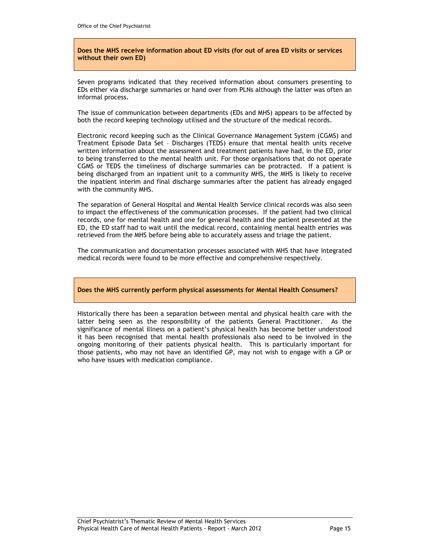#### **Does the MHS receive information about ED visits (for out of area ED visits or services without their own ED)**

Seven programs indicated that they received information about consumers presenting to EDs either via discharge summaries or hand over from PLNs although the latter was often an informal process.

The issue of communication between departments (EDs and MHS) appears to be affected by both the record keeping technology utilised and the structure of the medical records.

Electronic record keeping such as the Clinical Governance Management System (CGMS) and Treatment Episode Data Set – Discharges (TEDS) ensure that mental health units receive written information about the assessment and treatment patients have had, in the ED, prior to being transferred to the mental health unit. For those organisations that do not operate CGMS or TEDS the timeliness of discharge summaries can be protracted. If a patient is being discharged from an inpatient unit to a community MHS, the MHS is likely to receive the inpatient interim and final discharge summaries after the patient has already engaged with the community MHS.

The separation of General Hospital and Mental Health Service clinical records was also seen to impact the effectiveness of the communication processes. If the patient had two clinical records, one for mental health and one for general health and the patient presented at the ED, the ED staff had to wait until the medical record, containing mental health entries was retrieved from the MHS before being able to accurately assess and triage the patient.

The communication and documentation processes associated with MHS that have integrated medical records were found to be more effective and comprehensive respectively.

#### **Does the MHS currently perform physical assessments for Mental Health Consumers?**

Historically there has been a separation between mental and physical health care with the latter being seen as the responsibility of the patients General Practitioner. As the significance of mental illness on a patient's physical health has become better understood it has been recognised that mental health professionals also need to be involved in the ongoing monitoring of their patients physical health. This is particularly important for those patients, who may not have an identified GP, may not wish to engage with a GP or who have issues with medication compliance.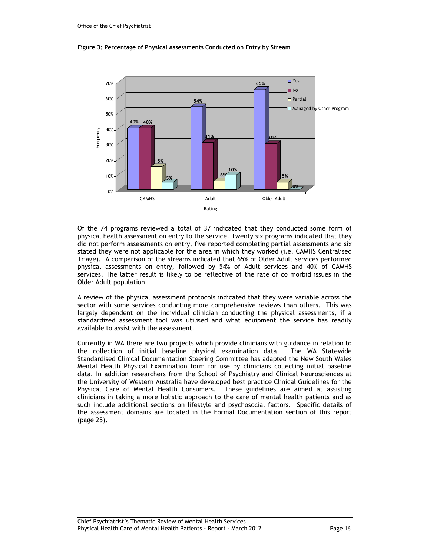

#### **Figure 3: Percentage of Physical Assessments Conducted on Entry by Stream**

Of the 74 programs reviewed a total of 37 indicated that they conducted some form of physical health assessment on entry to the service. Twenty six programs indicated that they did not perform assessments on entry, five reported completing partial assessments and six stated they were not applicable for the area in which they worked (i.e. CAMHS Centralised Triage). A comparison of the streams indicated that 65% of Older Adult services performed physical assessments on entry, followed by 54% of Adult services and 40% of CAMHS services. The latter result is likely to be reflective of the rate of co morbid issues in the Older Adult population.

A review of the physical assessment protocols indicated that they were variable across the sector with some services conducting more comprehensive reviews than others. This was largely dependent on the individual clinician conducting the physical assessments, if a standardized assessment tool was utilised and what equipment the service has readily available to assist with the assessment.

Currently in WA there are two projects which provide clinicians with guidance in relation to the collection of initial baseline physical examination data. The WA Statewide Standardised Clinical Documentation Steering Committee has adapted the New South Wales Mental Health Physical Examination form for use by clinicians collecting initial baseline data. In addition researchers from the School of Psychiatry and Clinical Neurosciences at the University of Western Australia have developed best practice Clinical Guidelines for the Physical Care of Mental Health Consumers. These guidelines are aimed at assisting clinicians in taking a more holistic approach to the care of mental health patients and as such include additional sections on lifestyle and psychosocial factors. Specific details of the assessment domains are located in the Formal Documentation section of this report (page 25).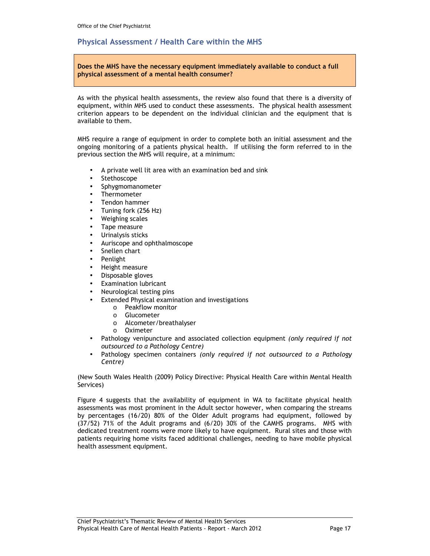### **Physical Assessment / Health Care within the MHS**

**Does the MHS have the necessary equipment immediately available to conduct a full physical assessment of a mental health consumer?** 

As with the physical health assessments, the review also found that there is a diversity of equipment, within MHS used to conduct these assessments. The physical health assessment criterion appears to be dependent on the individual clinician and the equipment that is available to them.

MHS require a range of equipment in order to complete both an initial assessment and the ongoing monitoring of a patients physical health. If utilising the form referred to in the previous section the MHS will require, at a minimum:

- A private well lit area with an examination bed and sink
- **Stethoscope**
- Sphygmomanometer
- Thermometer
- Tendon hammer
- Tuning fork (256 Hz)
- Weighing scales
- Tape measure
- Urinalysis sticks
- Auriscope and ophthalmoscope
- Snellen chart
- Penlight
- Height measure
- Disposable gloves
- **Examination lubricant**
- Neurological testing pins
- Extended Physical examination and investigations
	- o Peakflow monitor
	- o Glucometer
	- o Alcometer/breathalyser
	- o Oximeter
- Pathology venipuncture and associated collection equipment *(only required if not outsourced to a Pathology Centre)*
- Pathology specimen containers *(only required if not outsourced to a Pathology Centre)*

(New South Wales Health (2009) Policy Directive: Physical Health Care within Mental Health Services)

Figure 4 suggests that the availability of equipment in WA to facilitate physical health assessments was most prominent in the Adult sector however, when comparing the streams by percentages (16/20) 80% of the Older Adult programs had equipment, followed by (37/52) 71% of the Adult programs and (6/20) 30% of the CAMHS programs. MHS with dedicated treatment rooms were more likely to have equipment. Rural sites and those with patients requiring home visits faced additional challenges, needing to have mobile physical health assessment equipment.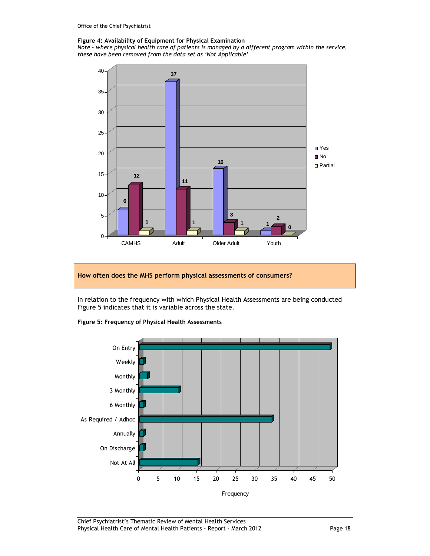#### **Figure 4: Availability of Equipment for Physical Examination**

*Note - where physical health care of patients is managed by a different program within the service, these have been removed from the data set as 'Not Applicable'* 



#### **How often does the MHS perform physical assessments of consumers?**

In relation to the frequency with which Physical Health Assessments are being conducted Figure 5 indicates that it is variable across the state.



#### **Figure 5: Frequency of Physical Health Assessments**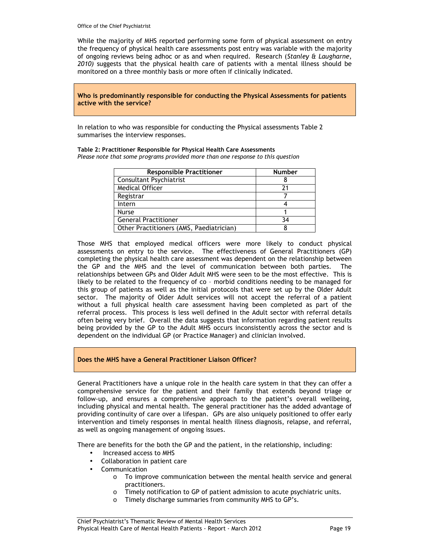While the majority of MHS reported performing some form of physical assessment on entry the frequency of physical health care assessments post entry was variable with the majority of ongoing reviews being adhoc or as and when required. Research (*Stanley & Laugharne, 2010)* suggests that the physical health care of patients with a mental illness should be monitored on a three monthly basis or more often if clinically indicated.

**Who is predominantly responsible for conducting the Physical Assessments for patients active with the service?** 

In relation to who was responsible for conducting the Physical assessments Table 2 summarises the interview responses.

**Table 2: Practitioner Responsible for Physical Health Care Assessments**  *Please note that some programs provided more than one response to this question* 

| <b>Responsible Practitioner</b>          | <b>Number</b> |
|------------------------------------------|---------------|
| <b>Consultant Psychiatrist</b>           |               |
| <b>Medical Officer</b>                   |               |
| Registrar                                |               |
| Intern                                   |               |
| <b>Nurse</b>                             |               |
| <b>General Practitioner</b>              | 34            |
| Other Practitioners (AMS, Paediatrician) |               |

Those MHS that employed medical officers were more likely to conduct physical assessments on entry to the service. The effectiveness of General Practitioners (GP) completing the physical health care assessment was dependent on the relationship between the GP and the MHS and the level of communication between both parties. The relationships between GPs and Older Adult MHS were seen to be the most effective. This is likely to be related to the frequency of co – morbid conditions needing to be managed for this group of patients as well as the initial protocols that were set up by the Older Adult sector. The majority of Older Adult services will not accept the referral of a patient without a full physical health care assessment having been completed as part of the referral process. This process is less well defined in the Adult sector with referral details often being very brief. Overall the data suggests that information regarding patient results being provided by the GP to the Adult MHS occurs inconsistently across the sector and is dependent on the individual GP (or Practice Manager) and clinician involved.

#### **Does the MHS have a General Practitioner Liaison Officer?**

General Practitioners have a unique role in the health care system in that they can offer a comprehensive service for the patient and their family that extends beyond triage or follow-up, and ensures a comprehensive approach to the patient's overall wellbeing, including physical and mental health. The general practitioner has the added advantage of providing continuity of care over a lifespan. GPs are also uniquely positioned to offer early intervention and timely responses in mental health illness diagnosis, relapse, and referral, as well as ongoing management of ongoing issues.

There are benefits for the both the GP and the patient, in the relationship, including:

- Increased access to MHS
- Collaboration in patient care
- **Communication** 
	- $\circ$  To improve communication between the mental health service and general practitioners.
	- o Timely notification to GP of patient admission to acute psychiatric units.
	- o Timely discharge summaries from community MHS to GP's.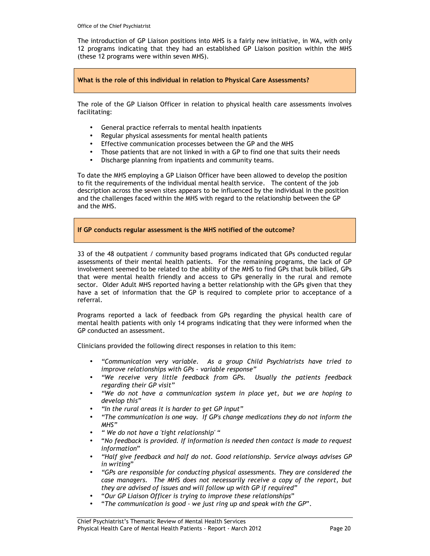The introduction of GP Liaison positions into MHS is a fairly new initiative, in WA, with only 12 programs indicating that they had an established GP Liaison position within the MHS (these 12 programs were within seven MHS).

#### **What is the role of this individual in relation to Physical Care Assessments?**

The role of the GP Liaison Officer in relation to physical health care assessments involves facilitating:

- General practice referrals to mental health inpatients
- Regular physical assessments for mental health patients
- Effective communication processes between the GP and the MHS
- Those patients that are not linked in with a GP to find one that suits their needs
- Discharge planning from inpatients and community teams.

To date the MHS employing a GP Liaison Officer have been allowed to develop the position to fit the requirements of the individual mental health service. The content of the job description across the seven sites appears to be influenced by the individual in the position and the challenges faced within the MHS with regard to the relationship between the GP and the MHS.

### **If GP conducts regular assessment is the MHS notified of the outcome?**

33 of the 48 outpatient / community based programs indicated that GPs conducted regular assessments of their mental health patients. For the remaining programs, the lack of GP involvement seemed to be related to the ability of the MHS to find GPs that bulk billed, GPs that were mental health friendly and access to GPs generally in the rural and remote sector. Older Adult MHS reported having a better relationship with the GPs given that they have a set of information that the GP is required to complete prior to acceptance of a referral.

Programs reported a lack of feedback from GPs regarding the physical health care of mental health patients with only 14 programs indicating that they were informed when the GP conducted an assessment.

Clinicians provided the following direct responses in relation to this item:

- *"Communication very variable. As a group Child Psychiatrists have tried to improve relationships with GPs - variable response"*
- *"We receive very little feedback from GPs. Usually the patients feedback regarding their GP visit"*
- *"We do not have a communication system in place yet, but we are hoping to develop this"*
- *"In the rural areas it is harder to get GP input"*
- *"The communication is one way. If GP's change medications they do not inform the MHS"*
- *" We do not have a 'tight relationship' "*
- "*No feedback is provided. If information is needed then contact is made to request information*"
- *"Half give feedback and half do not. Good relationship. Service always advises GP in writing*"
- *"GPs are responsible for conducting physical assessments. They are considered the case managers. The MHS does not necessarily receive a copy of the report, but they are advised of issues and will follow up with GP if required"*
- "*Our GP Liaison Officer is trying to improve these relationships*"
- "*The communication is good we just ring up and speak with the GP*".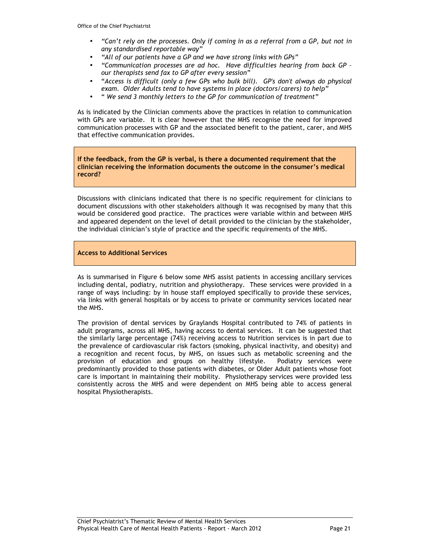- *"Can't rely on the processes. Only if coming in as a referral from a GP, but not in any standardised reportable way"*
- *"All of our patients have a GP and we have strong links with GPs"*
- *"Communication processes are ad hoc. Have difficulties hearing from back GP our therapists send fax to GP after every session"*
- "*Access is difficult (only a few GPs who bulk bill). GP's don't always do physical exam. Older Adults tend to have systems in place (doctors/carers) to help"*
- " *We send 3 monthly letters to the GP for communication of treatment"*

As is indicated by the Clinician comments above the practices in relation to communication with GPs are variable. It is clear however that the MHS recognise the need for improved communication processes with GP and the associated benefit to the patient, carer, and MHS that effective communication provides.

**If the feedback, from the GP is verbal, is there a documented requirement that the clinician receiving the information documents the outcome in the consumer's medical record?** 

Discussions with clinicians indicated that there is no specific requirement for clinicians to document discussions with other stakeholders although it was recognised by many that this would be considered good practice. The practices were variable within and between MHS and appeared dependent on the level of detail provided to the clinician by the stakeholder, the individual clinician's style of practice and the specific requirements of the MHS.

**Access to Additional Services** 

As is summarised in Figure 6 below some MHS assist patients in accessing ancillary services including dental, podiatry, nutrition and physiotherapy. These services were provided in a range of ways including: by in house staff employed specifically to provide these services, via links with general hospitals or by access to private or community services located near the MHS.

The provision of dental services by Graylands Hospital contributed to 74% of patients in adult programs, across all MHS, having access to dental services. It can be suggested that the similarly large percentage (74%) receiving access to Nutrition services is in part due to the prevalence of cardiovascular risk factors (smoking, physical inactivity, and obesity) and a recognition and recent focus, by MHS, on issues such as metabolic screening and the provision of education and groups on healthy lifestyle. Podiatry services were predominantly provided to those patients with diabetes, or Older Adult patients whose foot care is important in maintaining their mobility. Physiotherapy services were provided less consistently across the MHS and were dependent on MHS being able to access general hospital Physiotherapists.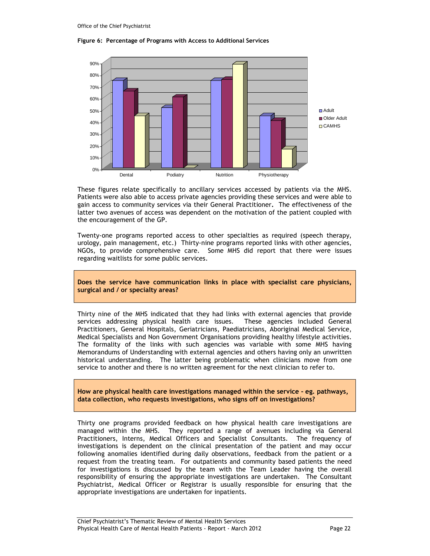#### **Figure 6: Percentage of Programs with Access to Additional Services**



These figures relate specifically to ancillary services accessed by patients via the MHS. Patients were also able to access private agencies providing these services and were able to gain access to community services via their General Practitioner**.** The effectiveness of the latter two avenues of access was dependent on the motivation of the patient coupled with the encouragement of the GP.

Twenty-one programs reported access to other specialties as required (speech therapy, urology, pain management, etc.) Thirty-nine programs reported links with other agencies, NGOs, to provide comprehensive care. Some MHS did report that there were issues regarding waitlists for some public services.

**Does the service have communication links in place with specialist care physicians, surgical and / or specialty areas?** 

Thirty nine of the MHS indicated that they had links with external agencies that provide services addressing physical health care issues. These agencies included General Practitioners, General Hospitals, Geriatricians, Paediatricians, Aboriginal Medical Service, Medical Specialists and Non Government Organisations providing healthy lifestyle activities. The formality of the links with such agencies was variable with some MHS having Memorandums of Understanding with external agencies and others having only an unwritten historical understanding. The latter being problematic when clinicians move from one service to another and there is no written agreement for the next clinician to refer to.

**How are physical health care investigations managed within the service - eg. pathways, data collection, who requests investigations, who signs off on investigations?** 

Thirty one programs provided feedback on how physical health care investigations are managed within the MHS. They reported a range of avenues including via General Practitioners, Interns, Medical Officers and Specialist Consultants. The frequency of investigations is dependent on the clinical presentation of the patient and may occur following anomalies identified during daily observations, feedback from the patient or a request from the treating team. For outpatients and community based patients the need for investigations is discussed by the team with the Team Leader having the overall responsibility of ensuring the appropriate investigations are undertaken. The Consultant Psychiatrist, Medical Officer or Registrar is usually responsible for ensuring that the appropriate investigations are undertaken for inpatients.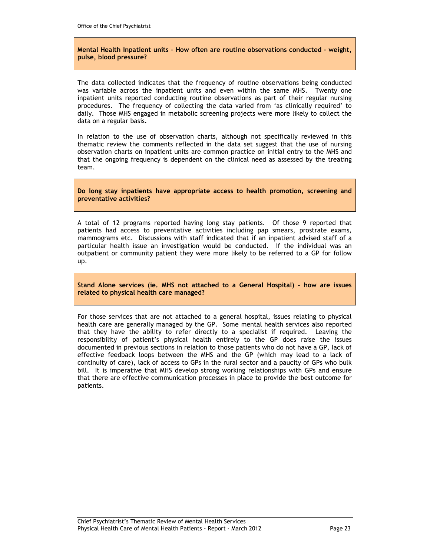#### **Mental Health Inpatient units – How often are routine observations conducted - weight, pulse, blood pressure?**

The data collected indicates that the frequency of routine observations being conducted was variable across the inpatient units and even within the same MHS. Twenty one inpatient units reported conducting routine observations as part of their regular nursing procedures. The frequency of collecting the data varied from 'as clinically required' to daily. Those MHS engaged in metabolic screening projects were more likely to collect the data on a regular basis.

In relation to the use of observation charts, although not specifically reviewed in this thematic review the comments reflected in the data set suggest that the use of nursing observation charts on inpatient units are common practice on initial entry to the MHS and that the ongoing frequency is dependent on the clinical need as assessed by the treating team.

**Do long stay inpatients have appropriate access to health promotion, screening and preventative activities?** 

A total of 12 programs reported having long stay patients. Of those 9 reported that patients had access to preventative activities including pap smears, prostrate exams, mammograms etc. Discussions with staff indicated that if an inpatient advised staff of a particular health issue an investigation would be conducted. If the individual was an outpatient or community patient they were more likely to be referred to a GP for follow up.

**Stand Alone services (ie. MHS not attached to a General Hospital) - how are issues related to physical health care managed?** 

For those services that are not attached to a general hospital, issues relating to physical health care are generally managed by the GP. Some mental health services also reported that they have the ability to refer directly to a specialist if required. Leaving the responsibility of patient's physical health entirely to the GP does raise the issues documented in previous sections in relation to those patients who do not have a GP, lack of effective feedback loops between the MHS and the GP (which may lead to a lack of continuity of care), lack of access to GPs in the rural sector and a paucity of GPs who bulk bill. It is imperative that MHS develop strong working relationships with GPs and ensure that there are effective communication processes in place to provide the best outcome for patients.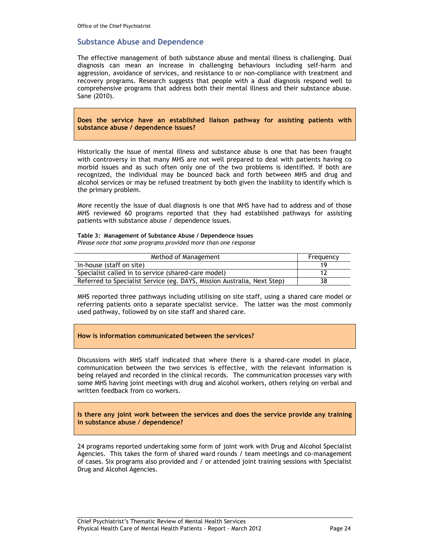### **Substance Abuse and Dependence**

The effective management of both substance abuse and mental illness is challenging. Dual diagnosis can mean an increase in challenging behaviours including self-harm and aggression, avoidance of services, and resistance to or non-compliance with treatment and recovery programs. Research suggests that people with a dual diagnosis respond well to comprehensive programs that address both their mental illness and their substance abuse. Sane (2010).

**Does the service have an established liaison pathway for assisting patients with substance abuse / dependence issues?** 

Historically the issue of mental illness and substance abuse is one that has been fraught with controversy in that many MHS are not well prepared to deal with patients having co morbid issues and as such often only one of the two problems is identified. If both are recognized, the individual may be bounced back and forth between MHS and drug and alcohol services or may be refused treatment by both given the inability to identify which is the primary problem.

More recently the issue of dual diagnosis is one that MHS have had to address and of those MHS reviewed 60 programs reported that they had established pathways for assisting patients with substance abuse / dependence issues.

**Table 3: Management of Substance Abuse / Dependence Issues**  *Please note that some programs provided more than one response* 

| Method of Management                                                    | Frequency |
|-------------------------------------------------------------------------|-----------|
| In-house (staff on site)                                                |           |
| Specialist called in to service (shared-care model)                     |           |
| Referred to Specialist Service (eg. DAYS, Mission Australia, Next Step) | 38        |

MHS reported three pathways including utilising on site staff, using a shared care model or referring patients onto a separate specialist service. The latter was the most commonly used pathway, followed by on site staff and shared care.

#### **How is information communicated between the services?**

Discussions with MHS staff indicated that where there is a shared-care model in place, communication between the two services is effective, with the relevant information is being relayed and recorded in the clinical records. The communication processes vary with some MHS having joint meetings with drug and alcohol workers, others relying on verbal and written feedback from co workers.

**Is there any joint work between the services and does the service provide any training in substance abuse / dependence?** 

24 programs reported undertaking some form of joint work with Drug and Alcohol Specialist Agencies. This takes the form of shared ward rounds / team meetings and co-management of cases. Six programs also provided and / or attended joint training sessions with Specialist Drug and Alcohol Agencies.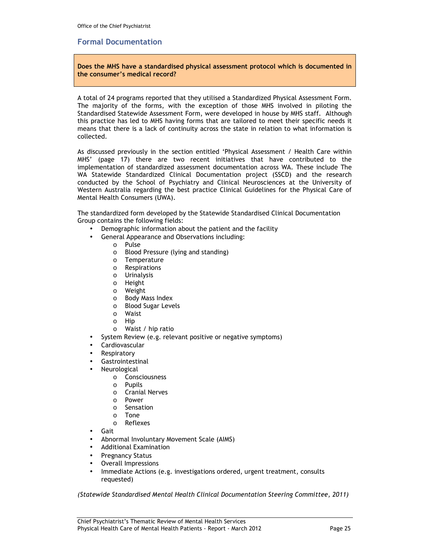### **Formal Documentation**

**Does the MHS have a standardised physical assessment protocol which is documented in the consumer's medical record?** 

A total of 24 programs reported that they utilised a Standardized Physical Assessment Form. The majority of the forms, with the exception of those MHS involved in piloting the Standardised Statewide Assessment Form, were developed in house by MHS staff. Although this practice has led to MHS having forms that are tailored to meet their specific needs it means that there is a lack of continuity across the state in relation to what information is collected.

As discussed previously in the section entitled 'Physical Assessment / Health Care within MHS' (page 17) there are two recent initiatives that have contributed to the implementation of standardized assessment documentation across WA. These include The WA Statewide Standardized Clinical Documentation project (SSCD) and the research conducted by the School of Psychiatry and Clinical Neurosciences at the University of Western Australia regarding the best practice Clinical Guidelines for the Physical Care of Mental Health Consumers (UWA).

The standardized form developed by the Statewide Standardised Clinical Documentation Group contains the following fields:

- Demographic information about the patient and the facility
- General Appearance and Observations including:
	- o Pulse
	- o Blood Pressure (lying and standing)
	- o Temperature
	- o Respirations
	- o Urinalysis
	- o Height
	- o Weight
	- o Body Mass Index
	- o Blood Sugar Levels
	- o Waist
	- o Hip
	- o Waist / hip ratio
	- System Review (e.g. relevant positive or negative symptoms)
	- **Cardiovascular**
- **Respiratory**
- **Gastrointestinal**
- **Neurological** 
	- o Consciousness
	- o Pupils
	- o Cranial Nerves
	- o Power
	- o Sensation
	- o Tone
	- o Reflexes
- Gait
- Abnormal Involuntary Movement Scale (AIMS)
- Additional Examination
- Pregnancy Status
- Overall Impressions
- Immediate Actions (e.g. investigations ordered, urgent treatment, consults requested)

*(Statewide Standardised Mental Health Clinical Documentation Steering Committee, 2011)*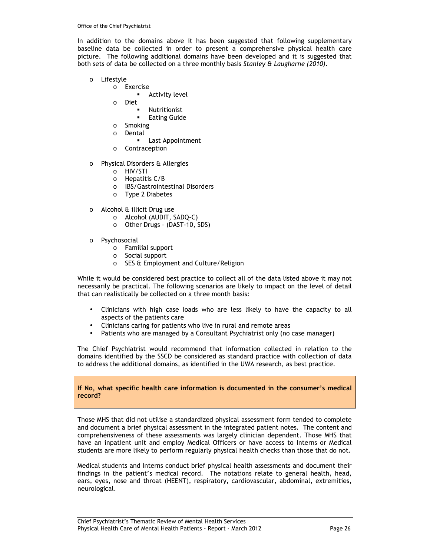In addition to the domains above it has been suggested that following supplementary baseline data be collected in order to present a comprehensive physical health care picture. The following additional domains have been developed and it is suggested that both sets of data be collected on a three monthly basis *Stanley & Laugharne (2010).*

- o Lifestyle
	- o Exercise
		- **Activity level**
		- o Diet
			- Nutritionist
			- Eating Guide
		- o Smoking
		- o Dental
			- **Last Appointment**
		- o Contraception
- o Physical Disorders & Allergies
	- o HIV/STI
	- o Hepatitis C/B
	- o IBS/Gastrointestinal Disorders
	- o Type 2 Diabetes
- o Alcohol & illicit Drug use
	- o Alcohol (AUDIT, SADQ-C)
	- o Other Drugs (DAST-10, SDS)
- o Psychosocial
	- o Familial support
	- o Social support
	- o SES & Employment and Culture/Religion

While it would be considered best practice to collect all of the data listed above it may not necessarily be practical. The following scenarios are likely to impact on the level of detail that can realistically be collected on a three month basis:

- Clinicians with high case loads who are less likely to have the capacity to all aspects of the patients care
- Clinicians caring for patients who live in rural and remote areas
- Patients who are managed by a Consultant Psychiatrist only (no case manager)

The Chief Psychiatrist would recommend that information collected in relation to the domains identified by the SSCD be considered as standard practice with collection of data to address the additional domains, as identified in the UWA research, as best practice.

**If No, what specific health care information is documented in the consumer's medical record?** 

Those MHS that did not utilise a standardized physical assessment form tended to complete and document a brief physical assessment in the integrated patient notes. The content and comprehensiveness of these assessments was largely clinician dependent. Those MHS that have an inpatient unit and employ Medical Officers or have access to Interns or Medical students are more likely to perform regularly physical health checks than those that do not.

Medical students and Interns conduct brief physical health assessments and document their findings in the patient's medical record. The notations relate to general health, head, ears, eyes, nose and throat (HEENT), respiratory, cardiovascular, abdominal, extremities, neurological.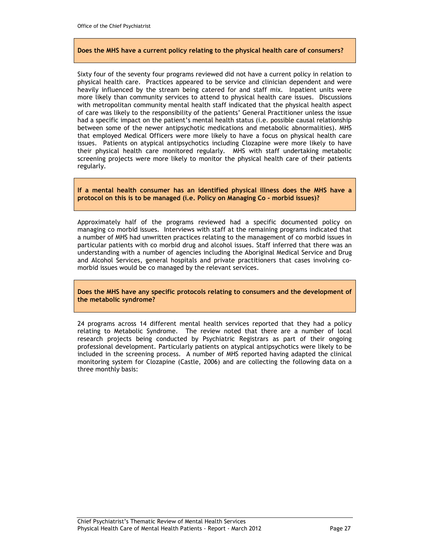#### **Does the MHS have a current policy relating to the physical health care of consumers?**

Sixty four of the seventy four programs reviewed did not have a current policy in relation to physical health care. Practices appeared to be service and clinician dependent and were heavily influenced by the stream being catered for and staff mix. Inpatient units were more likely than community services to attend to physical health care issues. Discussions with metropolitan community mental health staff indicated that the physical health aspect of care was likely to the responsibility of the patients' General Practitioner unless the issue had a specific impact on the patient's mental health status (i.e. possible causal relationship between some of the newer antipsychotic medications and metabolic abnormalities). MHS that employed Medical Officers were more likely to have a focus on physical health care issues. Patients on atypical antipsychotics including Clozapine were more likely to have their physical health care monitored regularly. MHS with staff undertaking metabolic screening projects were more likely to monitor the physical health care of their patients regularly.

**If a mental health consumer has an identified physical illness does the MHS have a protocol on this is to be managed (i.e. Policy on Managing Co - morbid issues)?** 

Approximately half of the programs reviewed had a specific documented policy on managing co morbid issues. Interviews with staff at the remaining programs indicated that a number of MHS had unwritten practices relating to the management of co morbid issues in particular patients with co morbid drug and alcohol issues. Staff inferred that there was an understanding with a number of agencies including the Aboriginal Medical Service and Drug and Alcohol Services, general hospitals and private practitioners that cases involving comorbid issues would be co managed by the relevant services.

**Does the MHS have any specific protocols relating to consumers and the development of the metabolic syndrome?** 

24 programs across 14 different mental health services reported that they had a policy relating to Metabolic Syndrome. The review noted that there are a number of local research projects being conducted by Psychiatric Registrars as part of their ongoing professional development. Particularly patients on atypical antipsychotics were likely to be included in the screening process. A number of MHS reported having adapted the clinical monitoring system for Clozapine (Castle, 2006) and are collecting the following data on a three monthly basis: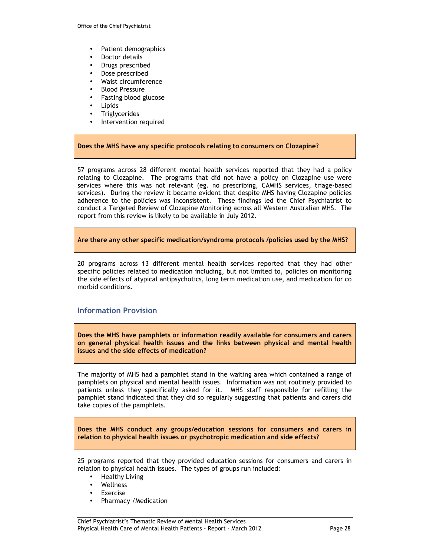- Patient demographics
- Doctor details
- Drugs prescribed
- Dose prescribed
- Waist circumference
- Blood Pressure
- Fasting blood glucose
- Lipids
- **Triglycerides**
- Intervention required

#### **Does the MHS have any specific protocols relating to consumers on Clozapine?**

57 programs across 28 different mental health services reported that they had a policy relating to Clozapine. The programs that did not have a policy on Clozapine use were services where this was not relevant (eg. no prescribing, CAMHS services, triage-based services). During the review it became evident that despite MHS having Clozapine policies adherence to the policies was inconsistent. These findings led the Chief Psychiatrist to conduct a Targeted Review of Clozapine Monitoring across all Western Australian MHS. The report from this review is likely to be available in July 2012.

**Are there any other specific medication/syndrome protocols /policies used by the MHS?** 

20 programs across 13 different mental health services reported that they had other specific policies related to medication including, but not limited to, policies on monitoring the side effects of atypical antipsychotics, long term medication use, and medication for co morbid conditions.

#### **Information Provision**

**Does the MHS have pamphlets or information readily available for consumers and carers on general physical health issues and the links between physical and mental health issues and the side effects of medication?** 

The majority of MHS had a pamphlet stand in the waiting area which contained a range of pamphlets on physical and mental health issues. Information was not routinely provided to patients unless they specifically asked for it. MHS staff responsible for refilling the pamphlet stand indicated that they did so regularly suggesting that patients and carers did take copies of the pamphlets.

**Does the MHS conduct any groups/education sessions for consumers and carers in relation to physical health issues or psychotropic medication and side effects?** 

25 programs reported that they provided education sessions for consumers and carers in relation to physical health issues. The types of groups run included:

- Healthy Living
- **Wellness**
- **Exercise**
- Pharmacy /Medication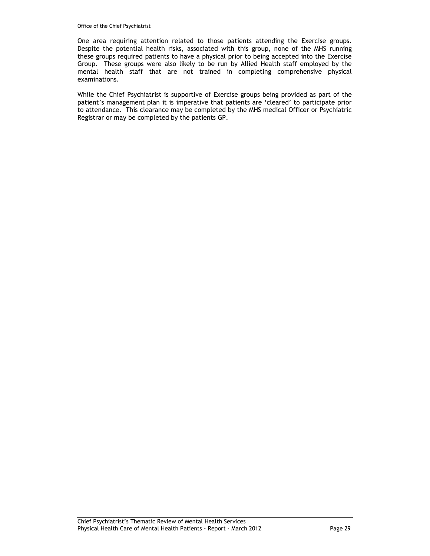One area requiring attention related to those patients attending the Exercise groups. Despite the potential health risks, associated with this group, none of the MHS running these groups required patients to have a physical prior to being accepted into the Exercise Group. These groups were also likely to be run by Allied Health staff employed by the mental health staff that are not trained in completing comprehensive physical examinations.

While the Chief Psychiatrist is supportive of Exercise groups being provided as part of the patient's management plan it is imperative that patients are 'cleared' to participate prior to attendance. This clearance may be completed by the MHS medical Officer or Psychiatric Registrar or may be completed by the patients GP.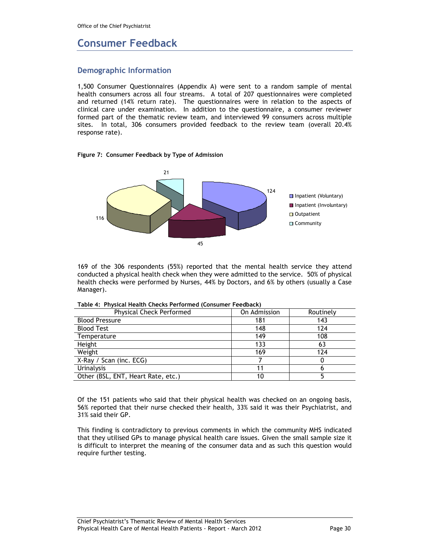## **Consumer Feedback**

### **Demographic Information**

1,500 Consumer Questionnaires (Appendix A) were sent to a random sample of mental health consumers across all four streams. A total of 207 questionnaires were completed and returned (14% return rate). The questionnaires were in relation to the aspects of clinical care under examination. In addition to the questionnaire, a consumer reviewer formed part of the thematic review team, and interviewed 99 consumers across multiple sites. In total, 306 consumers provided feedback to the review team (overall 20.4% response rate).

#### **Figure 7: Consumer Feedback by Type of Admission**



169 of the 306 respondents (55%) reported that the mental health service they attend conducted a physical health check when they were admitted to the service. 50% of physical health checks were performed by Nurses, 44% by Doctors, and 6% by others (usually a Case Manager).

| <b>Physical Check Performed</b>    | On Admission | Routinely |
|------------------------------------|--------------|-----------|
| <b>Blood Pressure</b>              | 181          | 143       |
| <b>Blood Test</b>                  | 148          | 124       |
| Temperature                        | 149          | 108       |
| Height                             | 133          | 63        |
| Weight                             | 169          | 124       |
| X-Ray / Scan (inc. ECG)            |              |           |
| Urinalysis                         |              |           |
| Other (BSL, ENT, Heart Rate, etc.) | 10           |           |

**Table 4: Physical Health Checks Performed (Consumer Feedback)** 

Of the 151 patients who said that their physical health was checked on an ongoing basis, 56% reported that their nurse checked their health, 33% said it was their Psychiatrist, and 31% said their GP.

This finding is contradictory to previous comments in which the community MHS indicated that they utilised GPs to manage physical health care issues. Given the small sample size it is difficult to interpret the meaning of the consumer data and as such this question would require further testing.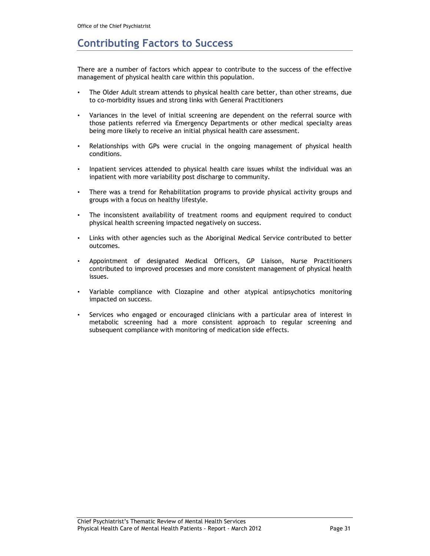## **Contributing Factors to Success**

There are a number of factors which appear to contribute to the success of the effective management of physical health care within this population.

- The Older Adult stream attends to physical health care better, than other streams, due to co-morbidity issues and strong links with General Practitioners
- Variances in the level of initial screening are dependent on the referral source with those patients referred via Emergency Departments or other medical specialty areas being more likely to receive an initial physical health care assessment.
- Relationships with GPs were crucial in the ongoing management of physical health conditions.
- Inpatient services attended to physical health care issues whilst the individual was an inpatient with more variability post discharge to community.
- There was a trend for Rehabilitation programs to provide physical activity groups and groups with a focus on healthy lifestyle.
- The inconsistent availability of treatment rooms and equipment required to conduct physical health screening impacted negatively on success.
- Links with other agencies such as the Aboriginal Medical Service contributed to better outcomes.
- Appointment of designated Medical Officers, GP Liaison, Nurse Practitioners contributed to improved processes and more consistent management of physical health issues.
- Variable compliance with Clozapine and other atypical antipsychotics monitoring impacted on success.
- Services who engaged or encouraged clinicians with a particular area of interest in metabolic screening had a more consistent approach to regular screening and subsequent compliance with monitoring of medication side effects.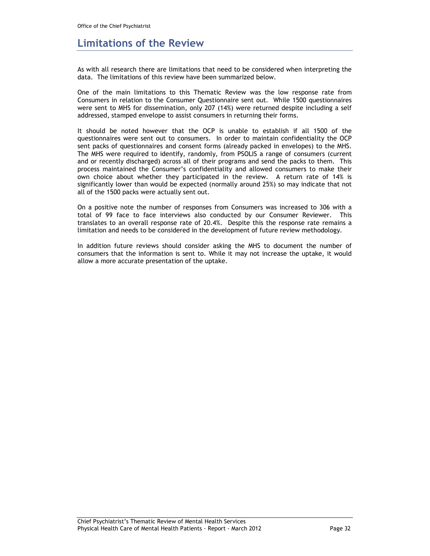## **Limitations of the Review**

As with all research there are limitations that need to be considered when interpreting the data. The limitations of this review have been summarized below.

One of the main limitations to this Thematic Review was the low response rate from Consumers in relation to the Consumer Questionnaire sent out. While 1500 questionnaires were sent to MHS for dissemination, only 207 (14%) were returned despite including a self addressed, stamped envelope to assist consumers in returning their forms.

It should be noted however that the OCP is unable to establish if all 1500 of the questionnaires were sent out to consumers. In order to maintain confidentiality the OCP sent packs of questionnaires and consent forms (already packed in envelopes) to the MHS. The MHS were required to identify, randomly, from PSOLIS a range of consumers (current and or recently discharged) across all of their programs and send the packs to them. This process maintained the Consumer's confidentiality and allowed consumers to make their own choice about whether they participated in the review. A return rate of 14% is significantly lower than would be expected (normally around 25%) so may indicate that not all of the 1500 packs were actually sent out.

On a positive note the number of responses from Consumers was increased to 306 with a total of 99 face to face interviews also conducted by our Consumer Reviewer. This translates to an overall response rate of 20.4%. Despite this the response rate remains a limitation and needs to be considered in the development of future review methodology.

In addition future reviews should consider asking the MHS to document the number of consumers that the information is sent to. While it may not increase the uptake, it would allow a more accurate presentation of the uptake.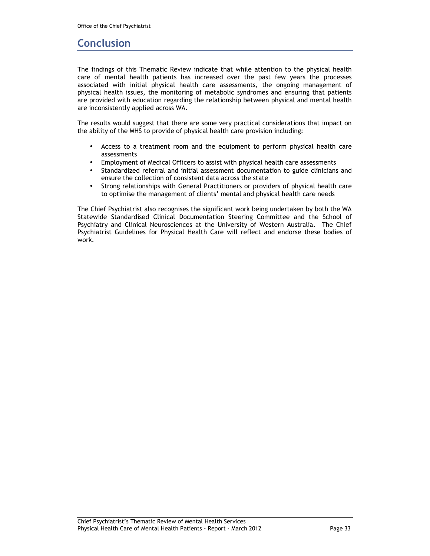## **Conclusion**

The findings of this Thematic Review indicate that while attention to the physical health care of mental health patients has increased over the past few years the processes associated with initial physical health care assessments, the ongoing management of physical health issues, the monitoring of metabolic syndromes and ensuring that patients are provided with education regarding the relationship between physical and mental health are inconsistently applied across WA.

The results would suggest that there are some very practical considerations that impact on the ability of the MHS to provide of physical health care provision including:

- Access to a treatment room and the equipment to perform physical health care assessments
- Employment of Medical Officers to assist with physical health care assessments
- Standardized referral and initial assessment documentation to guide clinicians and ensure the collection of consistent data across the state
- Strong relationships with General Practitioners or providers of physical health care to optimise the management of clients' mental and physical health care needs

The Chief Psychiatrist also recognises the significant work being undertaken by both the WA Statewide Standardised Clinical Documentation Steering Committee and the School of Psychiatry and Clinical Neurosciences at the University of Western Australia. The Chief Psychiatrist Guidelines for Physical Health Care will reflect and endorse these bodies of work.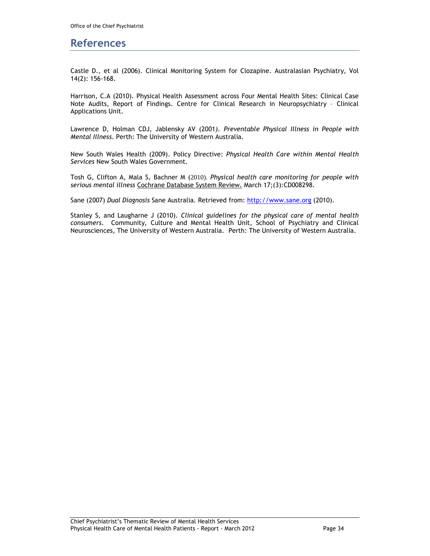### **References**

Castle D., et al (2006). Clinical Monitoring System for Clozapine. Australasian Psychiatry, Vol 14(2): 156-168.

Harrison, C.A (2010). Physical Health Assessment across Four Mental Health Sites: Clinical Case Note Audits, Report of Findings. Centre for Clinical Research in Neuropsychiatry – Clinical Applications Unit.

Lawrence D, Holman CDJ, Jablensky AV (2001*). Preventable Physical Illness in People with Mental Illness*. Perth: The University of Western Australia.

New South Wales Health (2009). Policy Directive: *Physical Health Care within Mental Health Services* New South Wales Government.

Tosh G, Clifton A, Mala S, Bachner M (2010). *Physical health care monitoring for people with serious mental illness* Cochrane Database System Review. March 17;(3):CD008298.

Sane (2007) *Dual Diagnosis* Sane Australia. Retrieved from: http://www.sane.org (2010).

Stanley S, and Laugharne J (2010). *Clinical guidelines for the physical care of mental health consumers*. Community, Culture and Mental Health Unit, School of Psychiatry and Clinical Neurosciences, The University of Western Australia. Perth: The University of Western Australia.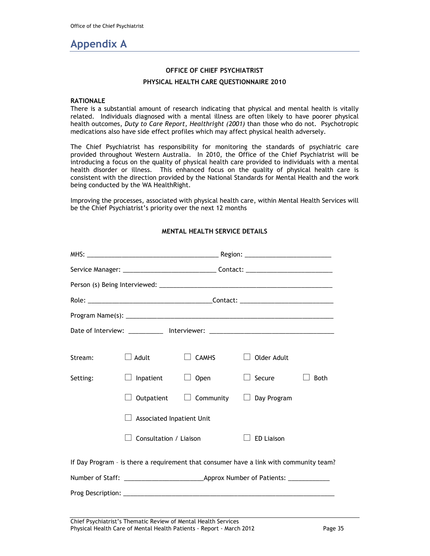## **Appendix A**

#### **OFFICE OF CHIEF PSYCHIATRIST**

#### **PHYSICAL HEALTH CARE QUESTIONNAIRE 2010**

#### **RATIONALE**

There is a substantial amount of research indicating that physical and mental health is vitally related. Individuals diagnosed with a mental illness are often likely to have poorer physical health outcomes, *Duty to Care Report, Healthright (2001)* than those who do not. Psychotropic medications also have side effect profiles which may affect physical health adversely.

The Chief Psychiatrist has responsibility for monitoring the standards of psychiatric care provided throughout Western Australia. In 2010, the Office of the Chief Psychiatrist will be introducing a focus on the quality of physical health care provided to individuals with a mental health disorder or illness. This enhanced focus on the quality of physical health care is consistent with the direction provided by the National Standards for Mental Health and the work being conducted by the WA HealthRight.

Improving the processes, associated with physical health care, within Mental Health Services will be the Chief Psychiatrist's priority over the next 12 months

|          |                                  | Service Manager: ___________________________________Contact: ___________________ |                                                                                        |             |
|----------|----------------------------------|----------------------------------------------------------------------------------|----------------------------------------------------------------------------------------|-------------|
|          |                                  |                                                                                  |                                                                                        |             |
|          |                                  |                                                                                  |                                                                                        |             |
|          |                                  |                                                                                  |                                                                                        |             |
|          |                                  |                                                                                  | Date of Interview: ____________ Interviewer: ___________________________________       |             |
| Stream:  | $\lrcorner$ Adult                | <b>CAMHS</b>                                                                     | Older Adult                                                                            |             |
| Setting: | $\Box$ Inpatient                 | $\Box$ Open                                                                      | $\Box$ Secure                                                                          | <b>Both</b> |
|          | Outpatient                       |                                                                                  | $\Box$ Community $\Box$ Day Program                                                    |             |
|          | <b>Associated Inpatient Unit</b> |                                                                                  |                                                                                        |             |
|          | Consultation / Liaison           |                                                                                  | <b>ED Liaison</b>                                                                      |             |
|          |                                  |                                                                                  | If Day Program - is there a requirement that consumer have a link with community team? |             |
|          |                                  |                                                                                  |                                                                                        |             |
|          |                                  |                                                                                  |                                                                                        |             |

### **MENTAL HEALTH SERVICE DETAILS**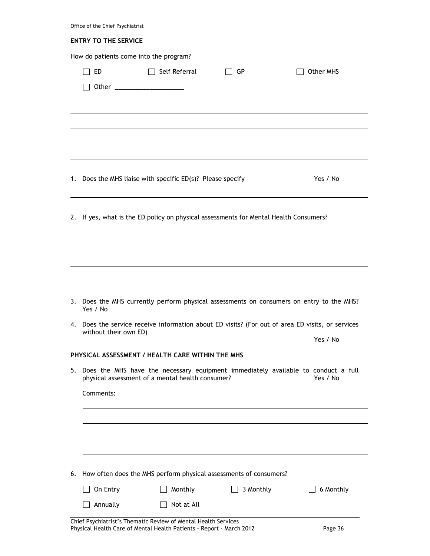|    | Office of the Chief Psychiatrist                                                                                                         |               |           |  |           |  |  |  |
|----|------------------------------------------------------------------------------------------------------------------------------------------|---------------|-----------|--|-----------|--|--|--|
|    | <b>ENTRY TO THE SERVICE</b>                                                                                                              |               |           |  |           |  |  |  |
|    | How do patients come into the program?                                                                                                   |               |           |  |           |  |  |  |
|    | ED                                                                                                                                       | Self Referral | GP        |  | Other MHS |  |  |  |
|    |                                                                                                                                          |               |           |  |           |  |  |  |
|    |                                                                                                                                          |               |           |  |           |  |  |  |
|    |                                                                                                                                          |               |           |  |           |  |  |  |
|    |                                                                                                                                          |               |           |  |           |  |  |  |
|    |                                                                                                                                          |               |           |  |           |  |  |  |
|    | 1. Does the MHS liaise with specific ED(s)? Please specify                                                                               |               |           |  | Yes / No  |  |  |  |
|    | 2. If yes, what is the ED policy on physical assessments for Mental Health Consumers?                                                    |               |           |  |           |  |  |  |
|    |                                                                                                                                          |               |           |  |           |  |  |  |
|    |                                                                                                                                          |               |           |  |           |  |  |  |
|    |                                                                                                                                          |               |           |  |           |  |  |  |
|    | 3. Does the MHS currently perform physical assessments on consumers on entry to the MHS?<br>Yes / No                                     |               |           |  |           |  |  |  |
|    | 4. Does the service receive information about ED visits? (For out of area ED visits, or services                                         |               |           |  |           |  |  |  |
|    | without their own ED)                                                                                                                    |               |           |  | Yes / No  |  |  |  |
|    | PHYSICAL ASSESSMENT / HEALTH CARE WITHIN THE MHS                                                                                         |               |           |  |           |  |  |  |
|    | 5. Does the MHS have the necessary equipment immediately available to conduct a full<br>physical assessment of a mental health consumer? |               |           |  | Yes / No  |  |  |  |
|    | Comments:                                                                                                                                |               |           |  |           |  |  |  |
|    |                                                                                                                                          |               |           |  |           |  |  |  |
|    |                                                                                                                                          |               |           |  |           |  |  |  |
|    |                                                                                                                                          |               |           |  |           |  |  |  |
|    |                                                                                                                                          |               |           |  |           |  |  |  |
| 6. | How often does the MHS perform physical assessments of consumers?                                                                        |               |           |  |           |  |  |  |
|    | On Entry                                                                                                                                 | Monthly       | 3 Monthly |  | 6 Monthly |  |  |  |
|    | Annually                                                                                                                                 | Not at All    |           |  |           |  |  |  |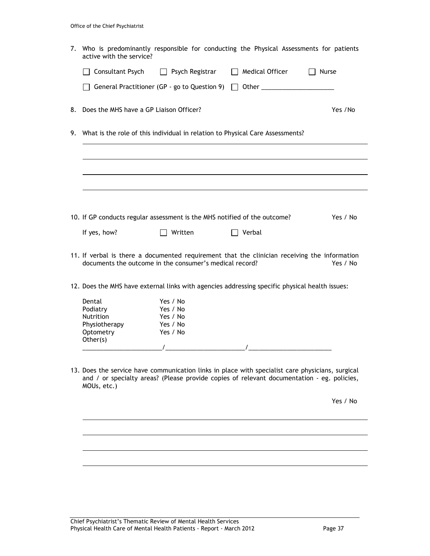| 7. Who is predominantly responsible for conducting the Physical Assessments for patients<br>active with the service?                                                                                          |
|---------------------------------------------------------------------------------------------------------------------------------------------------------------------------------------------------------------|
| $\Box$ Consultant Psych<br>$\Box$ Psych Registrar<br>$\Box$ Medical Officer<br>Nurse                                                                                                                          |
| General Practitioner (GP - go to Question 9)<br>Other ________________________                                                                                                                                |
| 8. Does the MHS have a GP Liaison Officer?<br>Yes /No                                                                                                                                                         |
| 9. What is the role of this individual in relation to Physical Care Assessments?                                                                                                                              |
|                                                                                                                                                                                                               |
|                                                                                                                                                                                                               |
|                                                                                                                                                                                                               |
| 10. If GP conducts regular assessment is the MHS notified of the outcome?<br>Yes / No                                                                                                                         |
| If yes, how?<br>Written<br>$\Box$ Verbal                                                                                                                                                                      |
| 11. If verbal is there a documented requirement that the clinician receiving the information<br>documents the outcome in the consumer's medical record?<br>Yes / No                                           |
| 12. Does the MHS have external links with agencies addressing specific physical health issues:                                                                                                                |
| Dental<br>Yes / No<br>Podiatry<br>Yes / No<br><b>Nutrition</b><br>Yes / No<br>Physiotherapy<br>Yes / No<br>Optometry<br>Yes / No<br>Other(s)                                                                  |
| 13. Does the service have communication links in place with specialist care physicians, surgical<br>and / or specialty areas? (Please provide copies of relevant documentation - eg. policies,<br>MOUs, etc.) |
| Yes / No                                                                                                                                                                                                      |
|                                                                                                                                                                                                               |
|                                                                                                                                                                                                               |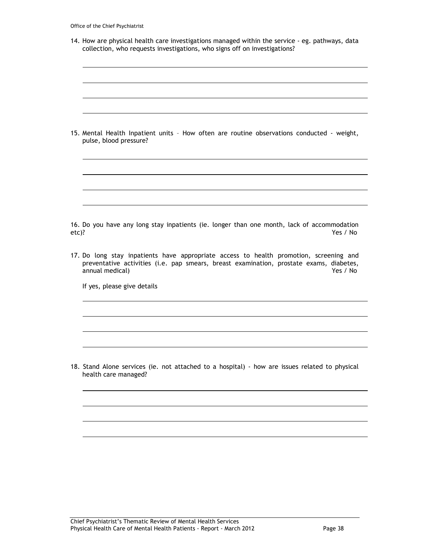|  |  | Office of the Chief Psychiatrist |
|--|--|----------------------------------|
|  |  |                                  |

| 14. How are physical health care investigations managed within the service - eg. pathways, data |  |
|-------------------------------------------------------------------------------------------------|--|
| collection, who requests investigations, who signs off on investigations?                       |  |

|       | 15. Mental Health Inpatient units - How often are routine observations conducted - weight,<br>pulse, blood pressure?                                                                                             |
|-------|------------------------------------------------------------------------------------------------------------------------------------------------------------------------------------------------------------------|
|       |                                                                                                                                                                                                                  |
|       |                                                                                                                                                                                                                  |
|       |                                                                                                                                                                                                                  |
| etc)? | 16. Do you have any long stay inpatients (ie. longer than one month, lack of accommodation<br>Yes / No                                                                                                           |
|       | 17. Do long stay inpatients have appropriate access to health promotion, screening and<br>preventative activities (i.e. pap smears, breast examination, prostate exams, diabetes,<br>annual medical)<br>Yes / No |
|       | If yes, please give details                                                                                                                                                                                      |
|       |                                                                                                                                                                                                                  |
|       |                                                                                                                                                                                                                  |
|       |                                                                                                                                                                                                                  |
|       | 18. Stand Alone services (ie. not attached to a hospital) - how are issues related to physical<br>health care managed?                                                                                           |
|       |                                                                                                                                                                                                                  |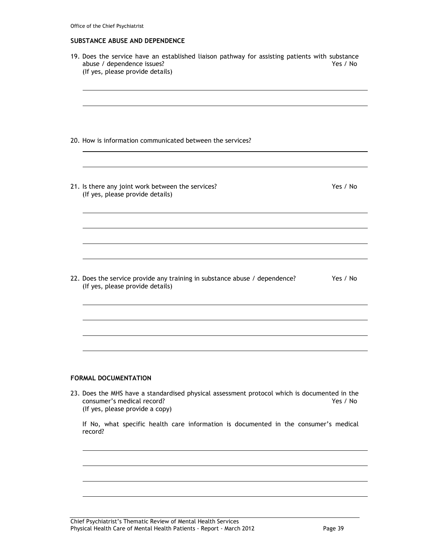#### **SUBSTANCE ABUSE AND DEPENDENCE**

| 19. Does the service have an established liaison pathway for assisting patients with substance<br>abuse / dependence issues?<br>(If yes, please provide details) | Yes / No |
|------------------------------------------------------------------------------------------------------------------------------------------------------------------|----------|
|                                                                                                                                                                  |          |
|                                                                                                                                                                  |          |
| 20. How is information communicated between the services?                                                                                                        |          |
|                                                                                                                                                                  |          |
| 21. Is there any joint work between the services?<br>(If yes, please provide details)                                                                            | Yes / No |
|                                                                                                                                                                  |          |
|                                                                                                                                                                  |          |
|                                                                                                                                                                  |          |
| 22. Does the service provide any training in substance abuse / dependence?<br>(If yes, please provide details)                                                   | Yes / No |
|                                                                                                                                                                  |          |
|                                                                                                                                                                  |          |
|                                                                                                                                                                  |          |
|                                                                                                                                                                  |          |

### **FORMAL DOCUMENTATION**

23. Does the MHS have a standardised physical assessment protocol which is documented in the consumer's medical record? consumer's medical record? (If yes, please provide a copy)

If No, what specific health care information is documented in the consumer's medical record?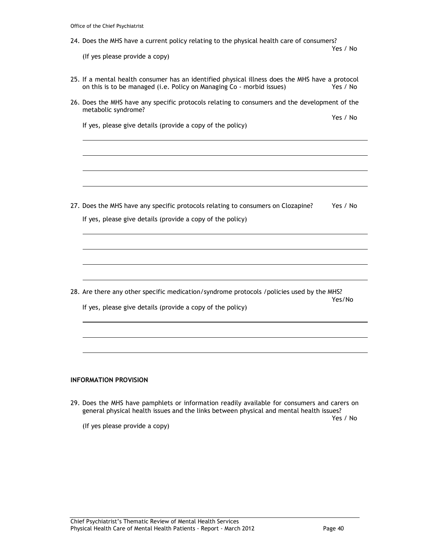|  |  | Office of the Chief Psychiatrist |
|--|--|----------------------------------|
|  |  |                                  |

| 24. Does the MHS have a current policy relating to the physical health care of consumers?<br>Yes / No<br>(If yes please provide a copy)<br>25. If a mental health consumer has an identified physical illness does the MHS have a protocol<br>on this is to be managed (i.e. Policy on Managing Co - morbid issues)<br>26. Does the MHS have any specific protocols relating to consumers and the development of the<br>metabolic syndrome?<br>If yes, please give details (provide a copy of the policy)<br>27. Does the MHS have any specific protocols relating to consumers on Clozapine?<br>If yes, please give details (provide a copy of the policy)<br>28. Are there any other specific medication/syndrome protocols / policies used by the MHS?<br>Yes/No<br>If yes, please give details (provide a copy of the policy)<br><b>INFORMATION PROVISION</b> |          |
|-------------------------------------------------------------------------------------------------------------------------------------------------------------------------------------------------------------------------------------------------------------------------------------------------------------------------------------------------------------------------------------------------------------------------------------------------------------------------------------------------------------------------------------------------------------------------------------------------------------------------------------------------------------------------------------------------------------------------------------------------------------------------------------------------------------------------------------------------------------------|----------|
|                                                                                                                                                                                                                                                                                                                                                                                                                                                                                                                                                                                                                                                                                                                                                                                                                                                                   |          |
|                                                                                                                                                                                                                                                                                                                                                                                                                                                                                                                                                                                                                                                                                                                                                                                                                                                                   |          |
|                                                                                                                                                                                                                                                                                                                                                                                                                                                                                                                                                                                                                                                                                                                                                                                                                                                                   | Yes / No |
|                                                                                                                                                                                                                                                                                                                                                                                                                                                                                                                                                                                                                                                                                                                                                                                                                                                                   |          |
|                                                                                                                                                                                                                                                                                                                                                                                                                                                                                                                                                                                                                                                                                                                                                                                                                                                                   | Yes / No |
|                                                                                                                                                                                                                                                                                                                                                                                                                                                                                                                                                                                                                                                                                                                                                                                                                                                                   |          |
|                                                                                                                                                                                                                                                                                                                                                                                                                                                                                                                                                                                                                                                                                                                                                                                                                                                                   |          |
|                                                                                                                                                                                                                                                                                                                                                                                                                                                                                                                                                                                                                                                                                                                                                                                                                                                                   |          |
|                                                                                                                                                                                                                                                                                                                                                                                                                                                                                                                                                                                                                                                                                                                                                                                                                                                                   | Yes / No |
|                                                                                                                                                                                                                                                                                                                                                                                                                                                                                                                                                                                                                                                                                                                                                                                                                                                                   |          |
|                                                                                                                                                                                                                                                                                                                                                                                                                                                                                                                                                                                                                                                                                                                                                                                                                                                                   |          |
|                                                                                                                                                                                                                                                                                                                                                                                                                                                                                                                                                                                                                                                                                                                                                                                                                                                                   |          |
|                                                                                                                                                                                                                                                                                                                                                                                                                                                                                                                                                                                                                                                                                                                                                                                                                                                                   |          |
|                                                                                                                                                                                                                                                                                                                                                                                                                                                                                                                                                                                                                                                                                                                                                                                                                                                                   |          |
|                                                                                                                                                                                                                                                                                                                                                                                                                                                                                                                                                                                                                                                                                                                                                                                                                                                                   |          |
|                                                                                                                                                                                                                                                                                                                                                                                                                                                                                                                                                                                                                                                                                                                                                                                                                                                                   |          |
|                                                                                                                                                                                                                                                                                                                                                                                                                                                                                                                                                                                                                                                                                                                                                                                                                                                                   |          |
|                                                                                                                                                                                                                                                                                                                                                                                                                                                                                                                                                                                                                                                                                                                                                                                                                                                                   |          |

29. Does the MHS have pamphlets or information readily available for consumers and carers on general physical health issues and the links between physical and mental health issues?<br>Yes / No

Yes / No

(If yes please provide a copy)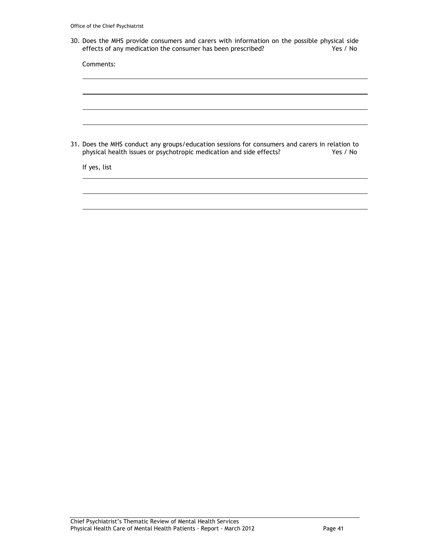30. Does the MHS provide consumers and carers with information on the possible physical side effects of any medication the consumer has been prescribed? Yes / No effects of any medication the consumer has been prescribed?

| Comments: |                                                                                                |  |          |
|-----------|------------------------------------------------------------------------------------------------|--|----------|
|           |                                                                                                |  |          |
|           |                                                                                                |  |          |
|           |                                                                                                |  |          |
|           | 31. Does the MHS conduct any groups/education sessions for consumers and carers in relation to |  | Yes / No |
|           | physical health issues or psychotropic medication and side effects?                            |  |          |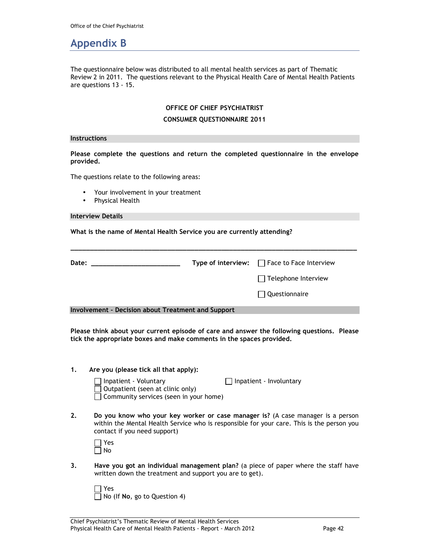## **Appendix B**

The questionnaire below was distributed to all mental health services as part of Thematic Review 2 in 2011. The questions relevant to the Physical Health Care of Mental Health Patients are questions 13 - 15.

#### **OFFICE OF CHIEF PSYCHIATRIST**

#### **CONSUMER QUESTIONNAIRE 2011**

#### **Instructions**

**Please complete the questions and return the completed questionnaire in the envelope provided.** 

The questions relate to the following areas:

- Your involvement in your treatment
- Physical Health

#### **Interview Details**

**What is the name of Mental Health Service you are currently attending?** 

| Date:                                                     | Type of interview: $\Box$ Face to Face Interview |
|-----------------------------------------------------------|--------------------------------------------------|
|                                                           | $\Box$ Telephone Interview                       |
|                                                           | Questionnaire                                    |
| <b>Involvement - Decision about Treatment and Support</b> |                                                  |

**Please think about your current episode of care and answer the following questions. Please tick the appropriate boxes and make comments in the spaces provided.** 

**1. Are you (please tick all that apply):** 

| $\Box$ Inpatient - Voluntary            | $\Box$ Inpatient - Involuntary |
|-----------------------------------------|--------------------------------|
| $\Box$ Outpatient (seen at clinic only) |                                |
| Community services (seen in your home)  |                                |

**2. Do you know who your key worker or case manager is?** (A case manager is a person within the Mental Health Service who is responsible for your care. This is the person you contact if you need support)

| Yes   |  |
|-------|--|
| l INo |  |

**3. Have you got an individual management plan?** (a piece of paper where the staff have written down the treatment and support you are to get).

 Yes No (If **No**, go to Question 4)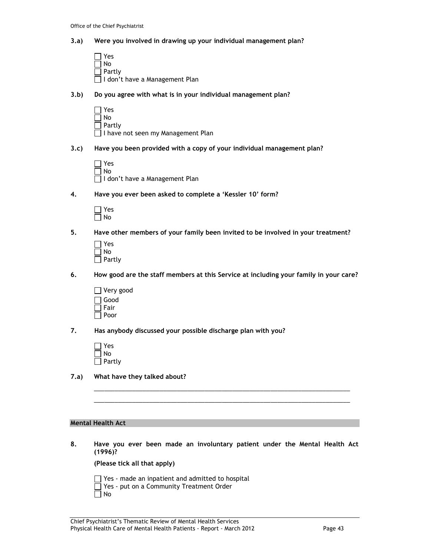#### **3.a) Were you involved in drawing up your individual management plan?**

- □ Yes  $\Box$  No  $\Box$  Partly I don't have a Management Plan
- **3.b) Do you agree with what is in your individual management plan?**

 $\Box$  Yes  $\Box$  No  $\Box$  Partly I have not seen my Management Plan

**3.c) Have you been provided with a copy of your individual management plan?** 

| I Yes     |                                  |
|-----------|----------------------------------|
| $\Box$ No |                                  |
|           | □ I don't have a Management Plan |

**4. Have you ever been asked to complete a 'Kessler 10' form?** 

**5. Have other members of your family been invited to be involved in your treatment?** 

| Yes    |
|--------|
| No     |
| Partly |

- **6. How good are the staff members at this Service at including your family in your care?** 
	- Very good Good Fair  $\Box$  Poor

**7. Has anybody discussed your possible discharge plan with you?** 

| $\Box$ Yes    |
|---------------|
| ∣ No          |
| $\Box$ Partly |

**7.a) What have they talked about?** 

#### **Mental Health Act**

**8. Have you ever been made an involuntary patient under the Mental Health Act (1996)?** 

\_\_\_\_\_\_\_\_\_\_\_\_\_\_\_\_\_\_\_\_\_\_\_\_\_\_\_\_\_\_\_\_\_\_\_\_\_\_\_\_\_\_\_\_\_\_\_\_\_\_\_\_\_\_\_\_\_\_\_\_\_\_\_\_\_\_\_\_\_\_\_\_\_\_ \_\_\_\_\_\_\_\_\_\_\_\_\_\_\_\_\_\_\_\_\_\_\_\_\_\_\_\_\_\_\_\_\_\_\_\_\_\_\_\_\_\_\_\_\_\_\_\_\_\_\_\_\_\_\_\_\_\_\_\_\_\_\_\_\_\_\_\_\_\_\_\_\_\_

 **(Please tick all that apply)** 

 $\Box$  Yes - made an inpatient and admitted to hospital Yes - put on a Community Treatment Order  $\Box$  No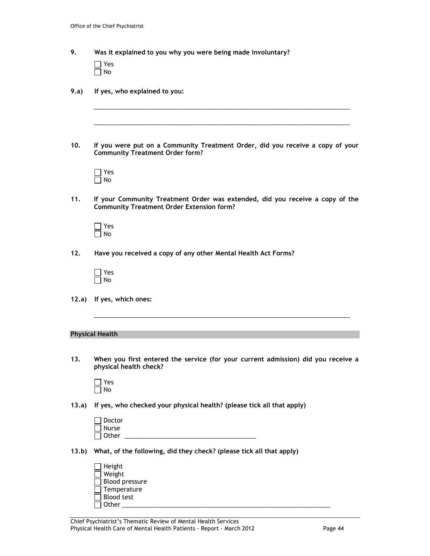| 9.     | Was it explained to you why you were being made involuntary?                                                                      |
|--------|-----------------------------------------------------------------------------------------------------------------------------------|
|        | Yes<br>No                                                                                                                         |
| 9.a)   | If yes, who explained to you:                                                                                                     |
|        |                                                                                                                                   |
| 10.    | If you were put on a Community Treatment Order, did you receive a copy of your<br><b>Community Treatment Order form?</b>          |
|        | Yes<br>No                                                                                                                         |
| 11.    | If your Community Treatment Order was extended, did you receive a copy of the<br><b>Community Treatment Order Extension form?</b> |
|        | Yes<br>No                                                                                                                         |
| 12.    | Have you received a copy of any other Mental Health Act Forms?                                                                    |
|        | Yes<br>No                                                                                                                         |
| 12.a)  | If yes, which ones:                                                                                                               |
|        |                                                                                                                                   |
|        | <b>Physical Health</b>                                                                                                            |
| 13.    | When you first entered the service (for your current admission) did you receive a<br>physical health check?                       |
|        | Yes<br>No                                                                                                                         |
| (13.a) | If yes, who checked your physical health? (please tick all that apply)                                                            |
|        | Doctor<br><b>Nurse</b><br>Other $\qquad \qquad$                                                                                   |
| (3.b)  | What, of the following, did they check? (please tick all that apply)                                                              |
|        | Height<br>Weight<br>Blood pressure<br>Temperature                                                                                 |

Other \_\_\_\_\_\_\_\_\_\_\_\_\_\_\_\_\_\_\_\_\_\_\_\_\_\_\_\_\_\_\_\_\_\_\_\_\_\_\_\_\_\_\_\_\_\_\_\_\_\_\_\_\_\_\_\_\_\_\_\_

Blood test